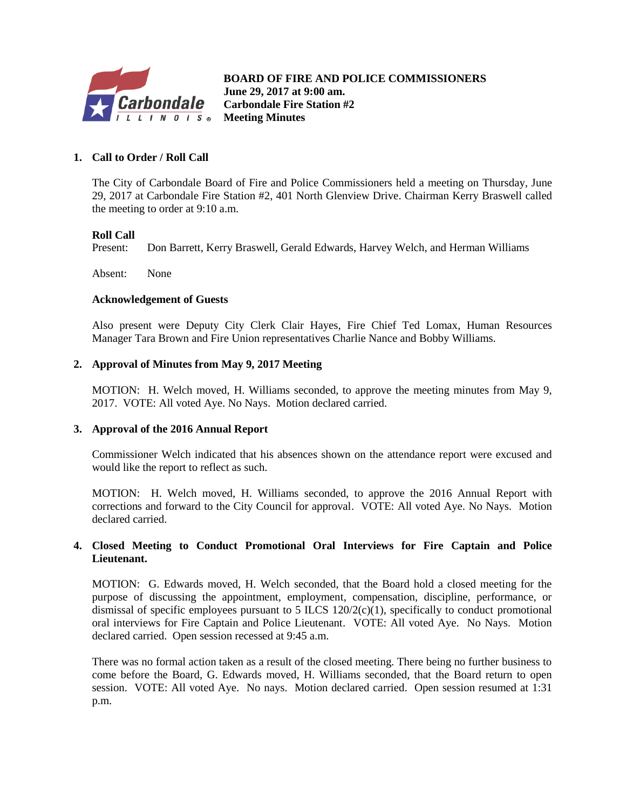

**B BOARD OF FIRE AND POLICE COMMISSIONERS June 29, 2017 at 9:00 am. Carbondale Fire Station #2 Meeting Minutes**

## **1. Call to Order / Roll Call**

The City of Carbondale Board of Fire and Police Commissioners held a meeting on Thursday, June 29, 2017 at Carbondale Fire Station #2, 401 North Glenview Drive. Chairman Kerry Braswell called the meeting to order at 9:10 a.m.

#### **Roll Call**

Present: Don Barrett, Kerry Braswell, Gerald Edwards, Harvey Welch, and Herman Williams

Absent: None

#### **Acknowledgement of Guests**

Also present were Deputy City Clerk Clair Hayes, Fire Chief Ted Lomax, Human Resources Manager Tara Brown and Fire Union representatives Charlie Nance and Bobby Williams.

#### **2. Approval of Minutes from May 9, 2017 Meeting**

MOTION: H. Welch moved, H. Williams seconded, to approve the meeting minutes from May 9, 2017. VOTE: All voted Aye. No Nays. Motion declared carried.

#### **3. Approval of the 2016 Annual Report**

Commissioner Welch indicated that his absences shown on the attendance report were excused and would like the report to reflect as such.

MOTION: H. Welch moved, H. Williams seconded, to approve the 2016 Annual Report with corrections and forward to the City Council for approval. VOTE: All voted Aye. No Nays. Motion declared carried.

#### **4. Closed Meeting to Conduct Promotional Oral Interviews for Fire Captain and Police Lieutenant.**

MOTION: G. Edwards moved, H. Welch seconded, that the Board hold a closed meeting for the purpose of discussing the appointment, employment, compensation, discipline, performance, or dismissal of specific employees pursuant to  $5$  ILCS  $120/2(c)(1)$ , specifically to conduct promotional oral interviews for Fire Captain and Police Lieutenant. VOTE: All voted Aye. No Nays. Motion declared carried. Open session recessed at 9:45 a.m.

There was no formal action taken as a result of the closed meeting. There being no further business to come before the Board, G. Edwards moved, H. Williams seconded, that the Board return to open session. VOTE: All voted Aye. No nays. Motion declared carried. Open session resumed at 1:31 p.m.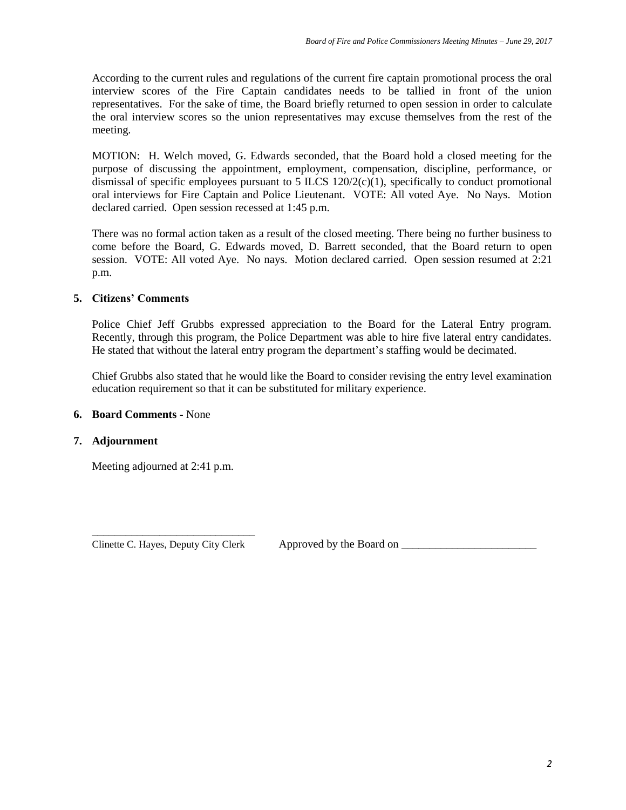According to the current rules and regulations of the current fire captain promotional process the oral interview scores of the Fire Captain candidates needs to be tallied in front of the union representatives. For the sake of time, the Board briefly returned to open session in order to calculate the oral interview scores so the union representatives may excuse themselves from the rest of the meeting.

MOTION: H. Welch moved, G. Edwards seconded, that the Board hold a closed meeting for the purpose of discussing the appointment, employment, compensation, discipline, performance, or dismissal of specific employees pursuant to 5 ILCS  $120/2(c)(1)$ , specifically to conduct promotional oral interviews for Fire Captain and Police Lieutenant. VOTE: All voted Aye. No Nays. Motion declared carried. Open session recessed at 1:45 p.m.

There was no formal action taken as a result of the closed meeting. There being no further business to come before the Board, G. Edwards moved, D. Barrett seconded, that the Board return to open session. VOTE: All voted Aye. No nays. Motion declared carried. Open session resumed at 2:21 p.m.

## **5. Citizens' Comments**

Police Chief Jeff Grubbs expressed appreciation to the Board for the Lateral Entry program. Recently, through this program, the Police Department was able to hire five lateral entry candidates. He stated that without the lateral entry program the department's staffing would be decimated.

Chief Grubbs also stated that he would like the Board to consider revising the entry level examination education requirement so that it can be substituted for military experience.

#### **6. Board Comments -** None

#### **7. Adjournment**

Meeting adjourned at 2:41 p.m.

\_\_\_\_\_\_\_\_\_\_\_\_\_\_\_\_\_\_\_\_\_\_\_\_\_\_\_\_\_ Clinette C. Hayes, Deputy City Clerk Approved by the Board on \_\_\_\_\_\_\_\_\_\_\_\_\_\_\_\_\_\_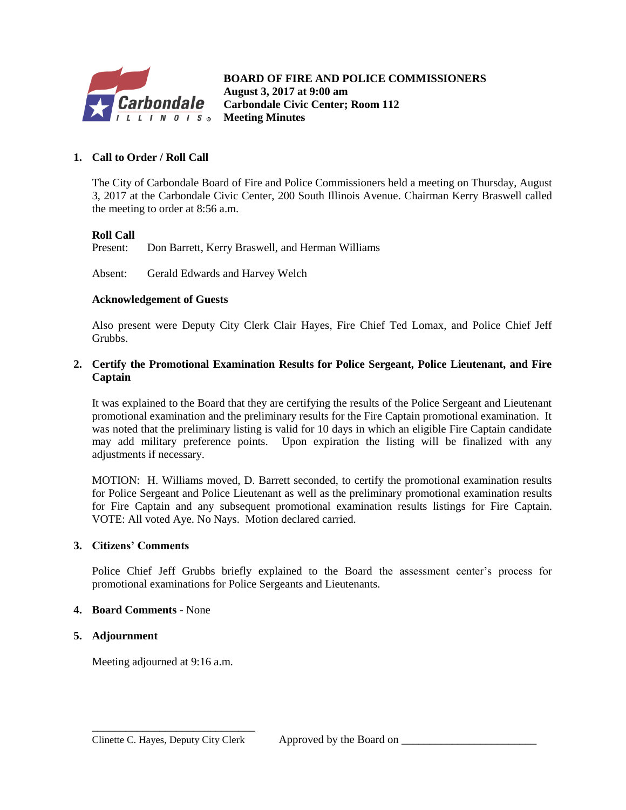

**B BOARD OF FIRE AND POLICE COMMISSIONERS August 3, 2017 at 9:00 am Carbondale Civic Center; Room 112 Meeting Minutes**

## **1. Call to Order / Roll Call**

The City of Carbondale Board of Fire and Police Commissioners held a meeting on Thursday, August 3, 2017 at the Carbondale Civic Center, 200 South Illinois Avenue. Chairman Kerry Braswell called the meeting to order at 8:56 a.m.

## **Roll Call**

Present: Don Barrett, Kerry Braswell, and Herman Williams

Absent: Gerald Edwards and Harvey Welch

#### **Acknowledgement of Guests**

Also present were Deputy City Clerk Clair Hayes, Fire Chief Ted Lomax, and Police Chief Jeff Grubbs.

## **2. Certify the Promotional Examination Results for Police Sergeant, Police Lieutenant, and Fire Captain**

It was explained to the Board that they are certifying the results of the Police Sergeant and Lieutenant promotional examination and the preliminary results for the Fire Captain promotional examination. It was noted that the preliminary listing is valid for 10 days in which an eligible Fire Captain candidate may add military preference points. Upon expiration the listing will be finalized with any adjustments if necessary.

MOTION: H. Williams moved, D. Barrett seconded, to certify the promotional examination results for Police Sergeant and Police Lieutenant as well as the preliminary promotional examination results for Fire Captain and any subsequent promotional examination results listings for Fire Captain. VOTE: All voted Aye. No Nays. Motion declared carried.

#### **3. Citizens' Comments**

Police Chief Jeff Grubbs briefly explained to the Board the assessment center's process for promotional examinations for Police Sergeants and Lieutenants.

#### **4. Board Comments -** None

#### **5. Adjournment**

Meeting adjourned at 9:16 a.m.

\_\_\_\_\_\_\_\_\_\_\_\_\_\_\_\_\_\_\_\_\_\_\_\_\_\_\_\_\_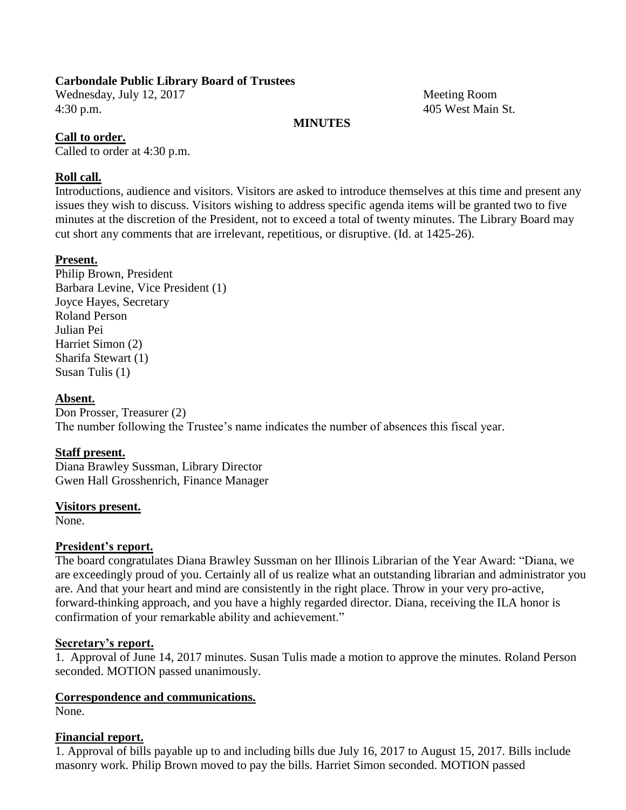## **Carbondale Public Library Board of Trustees**

Wednesday, July 12, 2017 Meeting Room 4:30 p.m. 405 West Main St.

## **MINUTES**

## **Call to order.**

Called to order at 4:30 p.m.

## **Roll call.**

Introductions, audience and visitors. Visitors are asked to introduce themselves at this time and present any issues they wish to discuss. Visitors wishing to address specific agenda items will be granted two to five minutes at the discretion of the President, not to exceed a total of twenty minutes. The Library Board may cut short any comments that are irrelevant, repetitious, or disruptive. (Id. at 1425-26).

## **Present.**

Philip Brown, President Barbara Levine, Vice President (1) Joyce Hayes, Secretary Roland Person Julian Pei Harriet Simon (2) Sharifa Stewart (1) Susan Tulis (1)

## **Absent.**

Don Prosser, Treasurer (2) The number following the Trustee's name indicates the number of absences this fiscal year.

## **Staff present.**

Diana Brawley Sussman, Library Director Gwen Hall Grosshenrich, Finance Manager

## **Visitors present.**

None.

## **President's report.**

The board congratulates Diana Brawley Sussman on her Illinois Librarian of the Year Award: "Diana, we are exceedingly proud of you. Certainly all of us realize what an outstanding librarian and administrator you are. And that your heart and mind are consistently in the right place. Throw in your very pro-active, forward-thinking approach, and you have a highly regarded director. Diana, receiving the ILA honor is confirmation of your remarkable ability and achievement."

## **Secretary's report.**

1. Approval of June 14, 2017 minutes. Susan Tulis made a motion to approve the minutes. Roland Person seconded. MOTION passed unanimously.

# **Correspondence and communications.**

None.

## **Financial report.**

1. Approval of bills payable up to and including bills due July 16, 2017 to August 15, 2017. Bills include masonry work. Philip Brown moved to pay the bills. Harriet Simon seconded. MOTION passed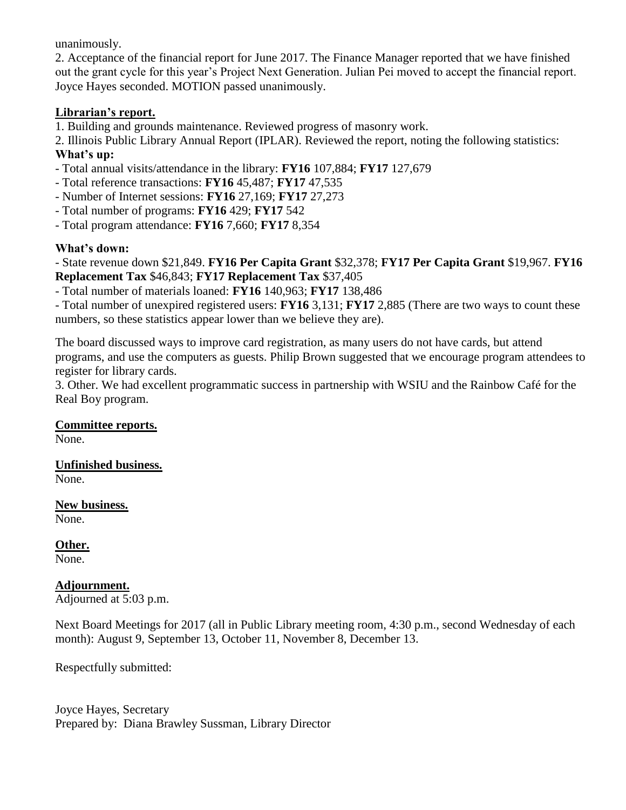unanimously.

2. Acceptance of the financial report for June 2017. The Finance Manager reported that we have finished out the grant cycle for this year's Project Next Generation. Julian Pei moved to accept the financial report. Joyce Hayes seconded. MOTION passed unanimously.

# **Librarian's report.**

1. Building and grounds maintenance. Reviewed progress of masonry work.

2. Illinois Public Library Annual Report (IPLAR). Reviewed the report, noting the following statistics: **What's up:**

- Total annual visits/attendance in the library: **FY16** 107,884; **FY17** 127,679
- Total reference transactions: **FY16** 45,487; **FY17** 47,535
- Number of Internet sessions: **FY16** 27,169; **FY17** 27,273
- Total number of programs: **FY16** 429; **FY17** 542
- Total program attendance: **FY16** 7,660; **FY17** 8,354

# **What's down:**

- State revenue down \$21,849. **FY16 Per Capita Grant** \$32,378; **FY17 Per Capita Grant** \$19,967. **FY16 Replacement Tax** \$46,843; **FY17 Replacement Tax** \$37,405

- Total number of materials loaned: **FY16** 140,963; **FY17** 138,486

- Total number of unexpired registered users: **FY16** 3,131; **FY17** 2,885 (There are two ways to count these numbers, so these statistics appear lower than we believe they are).

The board discussed ways to improve card registration, as many users do not have cards, but attend programs, and use the computers as guests. Philip Brown suggested that we encourage program attendees to register for library cards.

3. Other. We had excellent programmatic success in partnership with WSIU and the Rainbow Café for the Real Boy program.

# **Committee reports.**

None.

#### **Unfinished business.** None.

**New business.**

None.

**Other.** None.

# **Adjournment.**

Adjourned at 5:03 p.m.

Next Board Meetings for 2017 (all in Public Library meeting room, 4:30 p.m., second Wednesday of each month): August 9, September 13, October 11, November 8, December 13.

Respectfully submitted:

Joyce Hayes, Secretary Prepared by: Diana Brawley Sussman, Library Director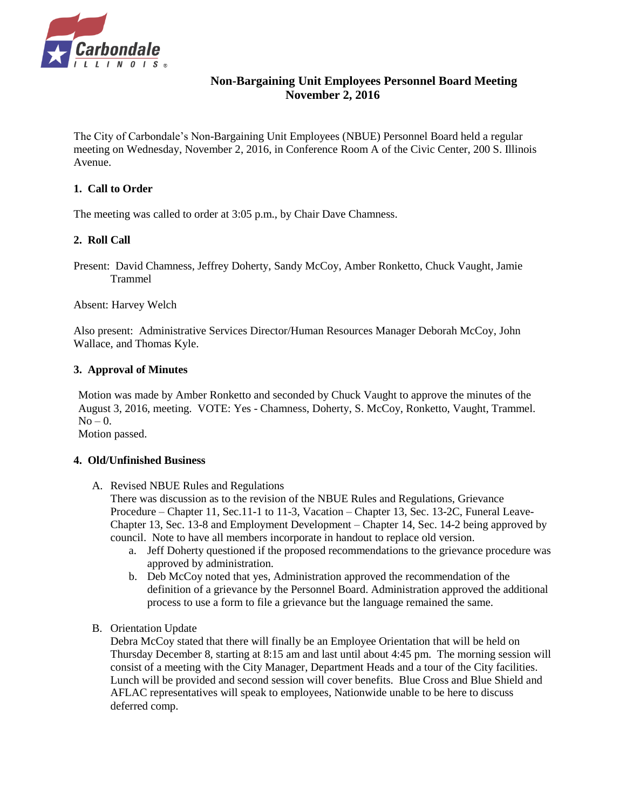

## **Non-Bargaining Unit Employees Personnel Board Meeting November 2, 2016**

The City of Carbondale's Non-Bargaining Unit Employees (NBUE) Personnel Board held a regular meeting on Wednesday, November 2, 2016, in Conference Room A of the Civic Center, 200 S. Illinois Avenue.

#### **1. Call to Order**

The meeting was called to order at 3:05 p.m., by Chair Dave Chamness.

## **2. Roll Call**

Present: David Chamness, Jeffrey Doherty, Sandy McCoy, Amber Ronketto, Chuck Vaught, Jamie Trammel

Absent: Harvey Welch

Also present: Administrative Services Director/Human Resources Manager Deborah McCoy, John Wallace, and Thomas Kyle.

#### **3. Approval of Minutes**

Motion was made by Amber Ronketto and seconded by Chuck Vaught to approve the minutes of the August 3, 2016, meeting. VOTE: Yes - Chamness, Doherty, S. McCoy, Ronketto, Vaught, Trammel.  $No - 0.$ 

Motion passed.

#### **4. Old/Unfinished Business**

A. Revised NBUE Rules and Regulations

There was discussion as to the revision of the NBUE Rules and Regulations, Grievance Procedure – Chapter 11, Sec.11-1 to 11-3, Vacation – Chapter 13, Sec. 13-2C, Funeral Leave-Chapter 13, Sec. 13-8 and Employment Development – Chapter 14, Sec. 14-2 being approved by council. Note to have all members incorporate in handout to replace old version.

- a. Jeff Doherty questioned if the proposed recommendations to the grievance procedure was approved by administration.
- b. Deb McCoy noted that yes, Administration approved the recommendation of the definition of a grievance by the Personnel Board. Administration approved the additional process to use a form to file a grievance but the language remained the same.
- B. Orientation Update

Debra McCoy stated that there will finally be an Employee Orientation that will be held on Thursday December 8, starting at 8:15 am and last until about 4:45 pm. The morning session will consist of a meeting with the City Manager, Department Heads and a tour of the City facilities. Lunch will be provided and second session will cover benefits. Blue Cross and Blue Shield and AFLAC representatives will speak to employees, Nationwide unable to be here to discuss deferred comp.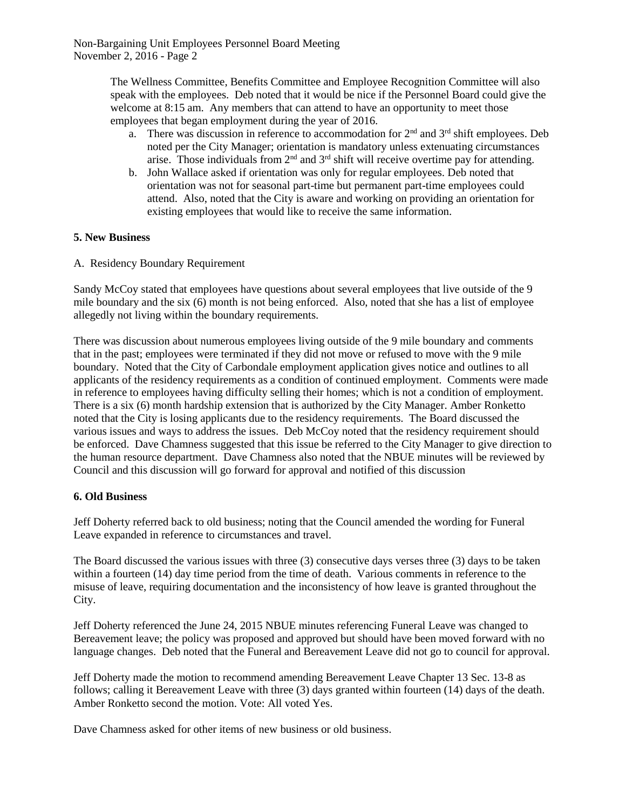Non-Bargaining Unit Employees Personnel Board Meeting November 2, 2016 - Page 2

> The Wellness Committee, Benefits Committee and Employee Recognition Committee will also speak with the employees. Deb noted that it would be nice if the Personnel Board could give the welcome at 8:15 am. Any members that can attend to have an opportunity to meet those employees that began employment during the year of 2016.

- a. There was discussion in reference to accommodation for  $2<sup>nd</sup>$  and  $3<sup>rd</sup>$  shift employees. Deb noted per the City Manager; orientation is mandatory unless extenuating circumstances arise. Those individuals from  $2<sup>nd</sup>$  and  $3<sup>rd</sup>$  shift will receive overtime pay for attending.
- b. John Wallace asked if orientation was only for regular employees. Deb noted that orientation was not for seasonal part-time but permanent part-time employees could attend. Also, noted that the City is aware and working on providing an orientation for existing employees that would like to receive the same information.

#### **5. New Business**

A. Residency Boundary Requirement

Sandy McCoy stated that employees have questions about several employees that live outside of the 9 mile boundary and the six (6) month is not being enforced. Also, noted that she has a list of employee allegedly not living within the boundary requirements.

There was discussion about numerous employees living outside of the 9 mile boundary and comments that in the past; employees were terminated if they did not move or refused to move with the 9 mile boundary. Noted that the City of Carbondale employment application gives notice and outlines to all applicants of the residency requirements as a condition of continued employment. Comments were made in reference to employees having difficulty selling their homes; which is not a condition of employment. There is a six (6) month hardship extension that is authorized by the City Manager. Amber Ronketto noted that the City is losing applicants due to the residency requirements. The Board discussed the various issues and ways to address the issues. Deb McCoy noted that the residency requirement should be enforced. Dave Chamness suggested that this issue be referred to the City Manager to give direction to the human resource department. Dave Chamness also noted that the NBUE minutes will be reviewed by Council and this discussion will go forward for approval and notified of this discussion

#### **6. Old Business**

Jeff Doherty referred back to old business; noting that the Council amended the wording for Funeral Leave expanded in reference to circumstances and travel.

The Board discussed the various issues with three (3) consecutive days verses three (3) days to be taken within a fourteen (14) day time period from the time of death. Various comments in reference to the misuse of leave, requiring documentation and the inconsistency of how leave is granted throughout the City.

Jeff Doherty referenced the June 24, 2015 NBUE minutes referencing Funeral Leave was changed to Bereavement leave; the policy was proposed and approved but should have been moved forward with no language changes. Deb noted that the Funeral and Bereavement Leave did not go to council for approval.

Jeff Doherty made the motion to recommend amending Bereavement Leave Chapter 13 Sec. 13-8 as follows; calling it Bereavement Leave with three (3) days granted within fourteen (14) days of the death. Amber Ronketto second the motion. Vote: All voted Yes.

Dave Chamness asked for other items of new business or old business.